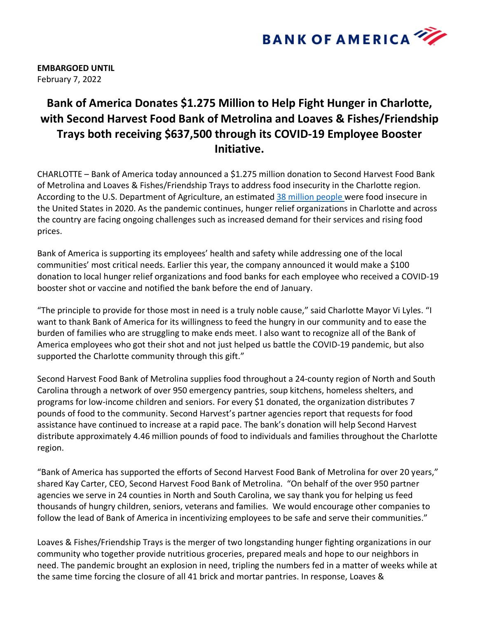

**EMBARGOED UNTIL** February 7, 2022

## **Bank of America Donates \$1.275 Million to Help Fight Hunger in Charlotte, with Second Harvest Food Bank of Metrolina and Loaves & Fishes/Friendship Trays both receiving \$637,500 through its COVID-19 Employee Booster Initiative.**

CHARLOTTE – Bank of America today announced a \$1.275 million donation to Second Harvest Food Bank of Metrolina and Loaves & Fishes/Friendship Trays to address food insecurity in the Charlotte region. According to the U.S. Department of Agriculture, an estimated 38 million people were food insecure in the United States in 2020. As the pandemic continues, hunger relief organizations in Charlotte and across the country are facing ongoing challenges such as increased demand for their services and rising food prices.

Bank of America is supporting its employees' health and safety while addressing one of the local communities' most critical needs. Earlier this year, the company announced it would make a \$100 donation to local hunger relief organizations and food banks for each employee who received a COVID-19 booster shot or vaccine and notified the bank before the end of January.

"The principle to provide for those most in need is a truly noble cause," said Charlotte Mayor Vi Lyles. "I want to thank Bank of America for its willingness to feed the hungry in our community and to ease the burden of families who are struggling to make ends meet. I also want to recognize all of the Bank of America employees who got their shot and not just helped us battle the COVID-19 pandemic, but also supported the Charlotte community through this gift."

Second Harvest Food Bank of Metrolina supplies food throughout a 24-county region of North and South Carolina through a network of over 950 emergency pantries, soup kitchens, homeless shelters, and programs for low-income children and seniors. For every \$1 donated, the organization distributes 7 pounds of food to the community. Second Harvest's partner agencies report that requests for food assistance have continued to increase at a rapid pace. The bank's donation will help Second Harvest distribute approximately 4.46 million pounds of food to individuals and families throughout the Charlotte region.

"Bank of America has supported the efforts of Second Harvest Food Bank of Metrolina for over 20 years," shared Kay Carter, CEO, Second Harvest Food Bank of Metrolina. "On behalf of the over 950 partner agencies we serve in 24 counties in North and South Carolina, we say thank you for helping us feed thousands of hungry children, seniors, veterans and families. We would encourage other companies to follow the lead of Bank of America in incentivizing employees to be safe and serve their communities."

Loaves & Fishes/Friendship Trays is the merger of two longstanding hunger fighting organizations in our community who together provide nutritious groceries, prepared meals and hope to our neighbors in need. The pandemic brought an explosion in need, tripling the numbers fed in a matter of weeks while at the same time forcing the closure of all 41 brick and mortar pantries. In response, Loaves &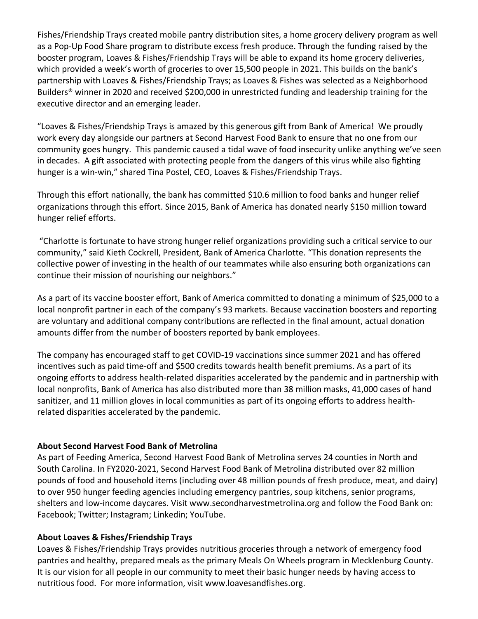Fishes/Friendship Trays created mobile pantry distribution sites, a home grocery delivery program as well as a Pop-Up Food Share program to distribute excess fresh produce. Through the funding raised by the booster program, Loaves & Fishes/Friendship Trays will be able to expand its home grocery deliveries, which provided a week's worth of groceries to over 15,500 people in 2021. This builds on the bank's partnership with Loaves & Fishes/Friendship Trays; as Loaves & Fishes was selected as a Neighborhood Builders® winner in 2020 and received \$200,000 in unrestricted funding and leadership training for the executive director and an emerging leader.

"Loaves & Fishes/Friendship Trays is amazed by this generous gift from Bank of America! We proudly work every day alongside our partners at Second Harvest Food Bank to ensure that no one from our community goes hungry. This pandemic caused a tidal wave of food insecurity unlike anything we've seen in decades. A gift associated with protecting people from the dangers of this virus while also fighting hunger is a win-win," shared Tina Postel, CEO, Loaves & Fishes/Friendship Trays.

Through this effort nationally, the bank has committed \$10.6 million to food banks and hunger relief organizations through this effort. Since 2015, Bank of America has donated nearly \$150 million toward hunger relief efforts.

"Charlotte is fortunate to have strong hunger relief organizations providing such a critical service to our community," said Kieth Cockrell, President, Bank of America Charlotte. "This donation represents the collective power of investing in the health of our teammates while also ensuring both organizations can continue their mission of nourishing our neighbors."

As a part of its vaccine booster effort, Bank of America committed to donating a minimum of \$25,000 to a local nonprofit partner in each of the company's 93 markets. Because vaccination boosters and reporting are voluntary and additional company contributions are reflected in the final amount, actual donation amounts differ from the number of boosters reported by bank employees.

The company has encouraged staff to get COVID-19 vaccinations since summer 2021 and has offered incentives such as paid time-off and \$500 credits towards health benefit premiums. As a part of its ongoing efforts to address health-related disparities accelerated by the pandemic and in partnership with local nonprofits, Bank of America has also distributed more than 38 million masks, 41,000 cases of hand sanitizer, and 11 million gloves in local communities as part of its ongoing efforts to address healthrelated disparities accelerated by the pandemic.

## **About Second Harvest Food Bank of Metrolina**

As part of Feeding America, Second Harvest Food Bank of Metrolina serves 24 counties in North and South Carolina. In FY2020-2021, Second Harvest Food Bank of Metrolina distributed over 82 million pounds of food and household items (including over 48 million pounds of fresh produce, meat, and dairy) to over 950 hunger feeding agencies including emergency pantries, soup kitchens, senior programs, shelters and low-income daycares. Visit www.secondharvestmetrolina.org and follow the Food Bank on: Facebook; Twitter; Instagram; Linkedin; YouTube.

## **About Loaves & Fishes/Friendship Trays**

Loaves & Fishes/Friendship Trays provides nutritious groceries through a network of emergency food pantries and healthy, prepared meals as the primary Meals On Wheels program in Mecklenburg County. It is our vision for all people in our community to meet their basic hunger needs by having access to nutritious food. For more information, visit www.loavesandfishes.org.